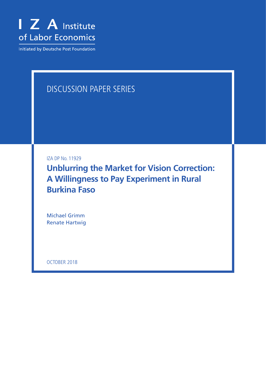

Initiated by Deutsche Post Foundation

# DISCUSSION PAPER SERIES

IZA DP No. 11929

**Unblurring the Market for Vision Correction: A Willingness to Pay Experiment in Rural Burkina Faso**

Michael Grimm Renate Hartwig

OCTOBER 2018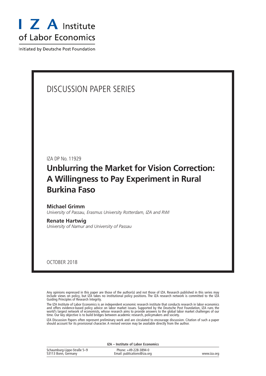

Initiated by Deutsche Post Foundation

# DISCUSSION PAPER SERIES

IZA DP No. 11929

# **Unblurring the Market for Vision Correction: A Willingness to Pay Experiment in Rural Burkina Faso**

**Michael Grimm** *University of Passau, Erasmus University Rotterdam, IZA and RWI*

**Renate Hartwig** *University of Namur and University of Passau*

OCTOBER 2018

Any opinions expressed in this paper are those of the author(s) and not those of IZA. Research published in this series may include views on policy, but IZA takes no institutional policy positions. The IZA research network is committed to the IZA Guiding Principles of Research Integrity.

The IZA Institute of Labor Economics is an independent economic research institute that conducts research in labor economics and offers evidence-based policy advice on labor market issues. Supported by the Deutsche Post Foundation, IZA runs the world's largest network of economists, whose research aims to provide answers to the global labor market challenges of our time. Our key objective is to build bridges between academic research, policymakers and society.

IZA Discussion Papers often represent preliminary work and are circulated to encourage discussion. Citation of such a paper should account for its provisional character. A revised version may be available directly from the author.

| IZA – Institute of Labor Economics                 |                                                      |             |  |
|----------------------------------------------------|------------------------------------------------------|-------------|--|
| Schaumburg-Lippe-Straße 5-9<br>53113 Bonn, Germany | Phone: +49-228-3894-0<br>Email: publications@iza.org | www.iza.org |  |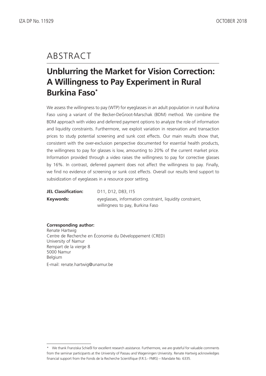# ABSTRACT

# **Unblurring the Market for Vision Correction: A Willingness to Pay Experiment in Rural Burkina Faso\***

We assess the willingness to pay (WTP) for eyeglasses in an adult population in rural Burkina Faso using a variant of the Becker-DeGroot-Marschak (BDM) method. We combine the BDM approach with video and deferred payment options to analyze the role of information and liquidity constraints. Furthermore, we exploit variation in reservation and transaction prices to study potential screening and sunk cost effects. Our main results show that, consistent with the over-exclusion perspective documented for essential health products, the willingness to pay for glasses is low, amounting to 20% of the current market price. Information provided through a video raises the willingness to pay for corrective glasses by 16%. In contrast, deferred payment does not affect the willingness to pay. Finally, we find no evidence of screening or sunk cost effects. Overall our results lend support to subsidization of eyeglasses in a resource poor setting.

**JEL Classification:** D11, D12, D83, I15 **Keywords:** eyeglasses, information constraint, liquidity constraint, willingness to pay, Burkina Faso

#### **Corresponding author:**

Renate Hartwig Centre de Recherche en Économie du Développement (CRED) University of Namur Rempart de la vierge 8 5000 Namur Belgium E-mail: renate.hartwig@unamur.be

<sup>\*</sup> We thank Franziska Schießl for excellent research assistance. Furthermore, we are grateful for valuable comments from the seminar participants at the University of Passau and Wageningen University. Renate Hartwig acknowledges financial support from the Fonds de la Recherche Scientifique (F.R.S.- FNRS) – Mandate No. 6335.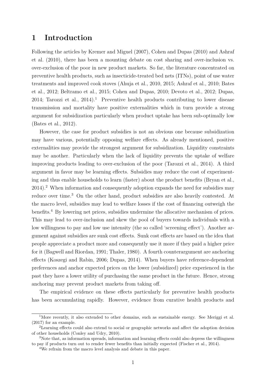## **1 Introduction**

Following the articles by [Kremer and Miguel](#page-23-0) [\(2007\)](#page-23-0), [Cohen and Dupas](#page-22-0) [\(2010\)](#page-22-0) and [Ashraf](#page-21-0) [et al.](#page-21-0) [\(2010\)](#page-21-0), there has been a mounting debate on cost sharing and over-inclusion vs. over-exclusion of the poor in new product markets. So far, the literature concentrated on preventive health products, such as insecticide-treated bed nets (ITNs), point of use water treatments and improved cook stoves [\(Ahuja et al., 2010,](#page-21-1) [2015;](#page-21-2) [Ashraf et al., 2010;](#page-21-0) [Bates](#page-21-3) [et al., 2012;](#page-21-3) [Beltramo et al., 2015;](#page-21-4) [Cohen and Dupas, 2010;](#page-22-0) [Devoto et al., 2012;](#page-22-1) [Dupas,](#page-22-2) [2014;](#page-22-2) [Tarozzi et al., 2014\)](#page-23-1).<sup>[1](#page--1-0)</sup> Preventive health products contributing to lower disease transmission and mortality have positive externalities which in turn provide a strong argument for subsidization particularly when product uptake has been sub-optimally low [\(Bates et al., 2012\)](#page-21-3).

However, the case for product subsidies is not an obvious one because subsidization may have various, potentially opposing welfare effects. As already mentioned, positive externalities may provide the strongest argument for subsidization. Liquidity constraints may be another. Particularly when the lack of liquidity prevents the uptake of welfare improving products leading to over-exclusion of the poor [\(Tarozzi et al., 2014\)](#page-23-1). A third argument in favor may be learning effects. Subsidies may reduce the cost of experimenting and thus enable households to learn (faster) about the product benefits [\(Bryan et al.,](#page-22-3) [2014\)](#page-22-3).[2](#page--1-0) When information and consequently adoption expands the need for subsidies may reduce over time.<sup>[3](#page--1-0)</sup> On the other hand, product subsidies are also heavily contested. At the macro level, subsidies may lead to welfare losses if the cost of financing outweigh the benefits.[4](#page--1-0) By lowering net prices, subsidies undermine the allocative mechanism of prices. This may lead to over-inclusion and skew the pool of buyers towards individuals with a low willingness to pay and low use intensity (the so called 'screening effect'). Another argument against subsidies are sunk cost effects. Sunk cost effects are based on the idea that people appreciate a product more and consequently use it more if they paid a higher price for it [\(Bagwell and Riordan, 1991;](#page-21-5) [Thaler, 1980\)](#page-23-2). A fourth counterargument are anchoring effects [\(Koszegi and Rabin, 2006;](#page-23-3) [Dupas, 2014\)](#page-22-2). When buyers have reference-dependent preferences and anchor expected prices on the lower (subsidized) price experienced in the past they have a lower utility of purchasing the same product in the future. Hence, strong anchoring may prevent product markets from taking off.

The empirical evidence on these effects particularly for preventive health products has been accumulating rapidly. However, evidence from curative health products and

<sup>&</sup>lt;sup>1</sup>More recently, it also extended to other domains, such as sustainable energy. See [Meriggi et al.](#page-23-4) [\(2017\)](#page-23-4) for an example.

<sup>2</sup>Learning effects could also extend to social or geographic networks and affect the adoption decision of other households [\(Conley and Udry, 2010\)](#page-22-4).

<sup>&</sup>lt;sup>3</sup>Note that, as information spreads, information and learning effects could also depress the willingness to pay if products turn out to render fewer benefits than initially expected [\(Fischer et al., 2014\)](#page-22-5).

<sup>4</sup>We refrain from the macro level analysis and debate in this paper.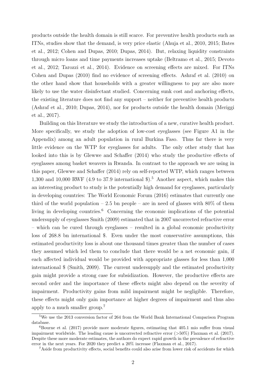products outside the health domain is still scarce. For preventive health products such as ITNs, studies show that the demand, is very price elastic [\(Ahuja et al., 2010,](#page-21-1) [2015;](#page-21-2) [Bates](#page-21-3) [et al., 2012;](#page-21-3) [Cohen and Dupas, 2010;](#page-22-0) [Dupas, 2014\)](#page-22-2). But, relaxing liquidity constraints through micro loans and time payments increases uptake [\(Beltramo et al., 2015;](#page-21-4) [Devoto](#page-22-1) [et al., 2012;](#page-22-1) [Tarozzi et al., 2014\)](#page-23-1). Evidence on screening effects are mixed. For ITNs [Cohen and Dupas](#page-22-0) [\(2010\)](#page-22-0) find no evidence of screening effects. [Ashraf et al.](#page-21-0) [\(2010\)](#page-21-0) on the other hand show that households with a greater willingness to pay are also more likely to use the water disinfectant studied. Concerning sunk cost and anchoring effects, the existing literature does not find any support – neither for preventive health products [\(Ashraf et al., 2010;](#page-21-0) [Dupas, 2014\)](#page-22-2), nor for products outside the health domain [\(Meriggi](#page-23-4) [et al., 2017\)](#page-23-4).

Building on this literature we study the introduction of a new, curative health product. More specifically, we study the adoption of low-cost eyeglasses (see Figure [A1](#page-37-0) in the Appendix) among an adult population in rural Burkina Faso. Thus far there is very little evidence on the WTP for eyeglasses for adults. The only other study that has looked into this is by [Glewwe and Schaffer](#page-22-6) [\(2014\)](#page-22-6) who study the productive effects of eyeglasses among basket weavers in Rwanda. In contrast to the approach we are using in this paper, [Glewwe and Schaffer](#page-22-6) [\(2014\)](#page-22-6) rely on self-reported WTP, which ranges between 1,300 and 10,000 RWF (4.9 to 37.9 international  $\hat{\mathcal{F}}$ ).<sup>[5](#page--1-0)</sup> Another aspect, which makes this an interesting product to study is the potentially high demand for eyeglasses, particularly in developing countries: The [World Economic Forum](#page-23-5) [\(2016\)](#page-23-5) estimates that currently one third of the world population – 2.5 bn people – are in need of glasses with  $80\%$  of them living in developing countries.<sup>[6](#page--1-0)</sup> Concerning the economic implications of the potential undersupply of eyeglasses [Smith](#page-23-6) [\(2009\)](#page-23-6) estimated that in 2007 uncorrected refractive error – which can be cured through eyeglasses – resulted in a global economic productivity loss of 268.8 bn international \$. Even under the most conservative assumptions, this estimated productivity loss is about one thousand times greater than the number of cases they assumed which led them to conclude that there would be a net economic gain, if each affected individual would be provided with appropriate glasses for less than 1,000 international \$ [\(Smith, 2009\)](#page-23-6). The current undersupply and the estimated productivity gain might provide a strong case for subsidization. However, the productive effects are second order and the importance of these effects might also depend on the severity of impairment. Productivity gains from mild impairment might be negligible. Therefore, these effects might only gain importance at higher degrees of impairment and thus also apply to a much smaller group.[7](#page--1-0)

<sup>5</sup>We use the 2013 conversion factor of 264 from the World Bank International Comparison Program database.

 ${}^{6}$ [Bourne et al.](#page-22-7) [\(2017\)](#page-22-7) provide more moderate figures, estimating that 405.1 mio suffer from visual impairment worldwide. The leading cause is uncorrected refractive error (>50%) [Flaxman et al.](#page-22-8) [\(2017\)](#page-22-8). Despite these more moderate estimates, the authors do expect rapid growth in the prevalence of refractive error in the next years. For 2020 they predict a 20% increase [\(Flaxman et al., 2017\)](#page-22-8).

<sup>&</sup>lt;sup>7</sup>Aside from productivity effects, social benefits could also arise from lower risk of accidents for which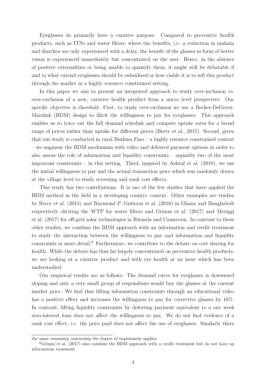Eyeglasses do primarily have a curative purpose. Compared to preventive health products, such as ITNs and water filters, where the benefits, i.e. a reduction in malaria and diarrhea are only experienced with a delay, the benefit of the glasses in form of better vision is experienced immediately but concentrated on the user. Hence, in the absence of positive externalities or being unable to quantify them, it might still be debatable if and to what extend eyeglasses should be subsidized or how viable it is to sell this product through the market in a highly resource constrained setting.

In this paper we aim to present an integrated approach to study over-inclusion vs. over-exclusion of a new, curative health product from a micro level perspective. Our specific objective is threefold: First, to study over-exclusion we use a Becker-DeGroot-Marshak (BDM) design to illicit the willingness to pay for eyeglasses. This approach enables us to trace out the full demand schedule and compute uptake rates for a broad range of prices rather than uptake for different prices [\(Berry et al., 2015\)](#page-21-6). Second, given that our study is conducted in rural Burkina Faso – a highly resource constrained context – we augment the BDM mechanism with video and deferred payment options in order to also assess the role of information and liquidity constraints – arguably two of the most important constraints – in this setting. Third, inspired by [Ashraf et al.](#page-21-0) [\(2010\)](#page-21-0), we use the initial willingness to pay and the actual transaction price which was randomly drawn at the village level to study screening and sunk cost effects.

This study has two contributions. It is one of the few studies that have applied the BDM method in the field in a developing country context. Other examples are studies by [Berry et al.](#page-21-6) [\(2015\)](#page-21-6) and [Raymond P. Guiteras et al.](#page-23-7) [\(2016\)](#page-23-7) in Ghana and Bangladesh respectively eliciting the WTP for water filters and [Grimm et al.](#page-22-9) [\(2017\)](#page-22-9) and [Meriggi](#page-23-4) [et al.](#page-23-4) [\(2017\)](#page-23-4) for off-grid solar technologies in Rwanda and Cameroon. In contrast to these other studies, we combine the BDM approach with an information and credit treatment to study the interaction between the willingness to pay and information and liquidity constraints in more detail.<sup>[8](#page--1-0)</sup> Furthermore, we contribute to the debate on cost sharing for health. While the debate has thus far largely concentrated on preventive health products, we are looking at a curative product and with eye health at an issue which has been understudied.

Our empirical results are as follows: The demand curve for eyeglasses is downward sloping and only a very small group of respondents would buy the glasses at the current market price. We find that lifting information constraints through an educational video has a positive effect and increases the willingness to pay for corrective glasses by 16%. In contrast, lifting liquidity constraints by deferring payment equivalent to a one week zero-interest loan does not affect the willingness to pay. We do not find evidence of a sunk cost effect, i.e. the price paid does not affect the use of eyeglasses. Similarly there

the same reasoning concerning the degree of impairment applies.

<sup>8</sup>[Grimm et al.](#page-22-9) [\(2017\)](#page-22-9) also combine the BDM approach with a credit treatment but do not have an information treatment.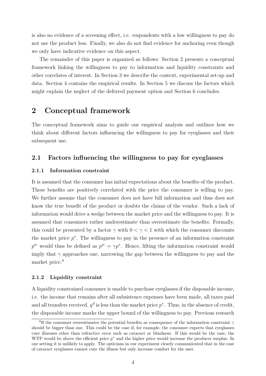is also no evidence of a screening effect, i.e. respondents with a low willingness to pay do not use the product less. Finally, we also do not find evidence for anchoring even though we only have indicative evidence on this aspect.

The remainder of this paper is organized as follows: Section [2](#page-6-0) presents a conceptual framework linking the willingness to pay to information and liquidity constraints and other correlates of interest. In Section [3](#page-8-0) we describe the context, experimental set-up and data. Section [4](#page-15-0) contains the empirical results. In Section [5](#page-19-0) we discuss the factors which might explain the neglect of the deferred payment option and Section [6](#page-20-0) concludes.

## <span id="page-6-0"></span>**2 Conceptual framework**

The conceptual framework aims to guide our empirical analysis and outlines how we think about different factors influencing the willingness to pay for eyeglasses and their subsequent use.

### **2.1 Factors influencing the willingness to pay for eyeglasses**

#### **2.1.1 Information constraint**

It is assumed that the consumer has initial expectations about the benefits of the product. These benefits are positively correlated with the price the consumer is willing to pay. We further assume that the consumer does not have full information and thus does not know the true benefit of the product or doubts the claims of the vendor. Such a lack of information would drive a wedge between the market price and the willingness to pay. It is assumed that consumers rather underestimate than overestimate the benefits. Formally, this could be presented by a factor  $\gamma$  with  $0 < \gamma < 1$  with which the consumer discounts the market price  $p^*$ . The willingness to pay in the presence of an information constraint  $p^{ic}$  would thus be defined as  $p^{ic} = \gamma p^*$ . Hence, lifting the information constraint would imply that  $\gamma$  approaches one, narrowing the gap between the willingness to pay and the market price.<sup>[9](#page--1-0)</sup>

#### **2.1.2 Liquidity constraint**

A liquidity constrained consumer is unable to purchase eyeglasses if the disposable income, i.e. the income that remains after all subsistence expenses have been made, all taxes paid and all transfers received,  $y^d$  is less than the market price  $p^*$ . Thus, in the absence of credit, the disposable income marks the upper bound of the willingness to pay. Previous research

<sup>9</sup> If the consumer overestimates the potential benefits as consequence of the information constraint *γ* should be bigger than one. This could be the case if, for example, the consumer expects that eyeglasses cure illnesses other than refractive error such as cataract or blindness. If this would be the case, the WTP would be above the efficient price  $p^*$  and the higher price would increase the producer surplus. In our setting it is unlikely to apply. The opticians in our experiment clearly communicated that in the case of cataract eyeglasses cannot cure the illness but only increase comfort for the user.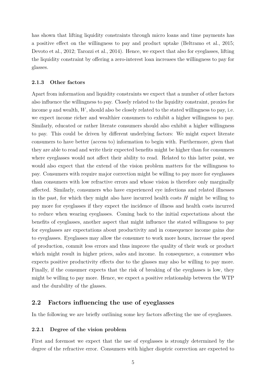has shown that lifting liquidity constraints through micro loans and time payments has a positive effect on the willingness to pay and product uptake [\(Beltramo et al., 2015;](#page-21-4) [Devoto et al., 2012;](#page-22-1) [Tarozzi et al., 2014\)](#page-23-1). Hence, we expect that also for eyeglasses, lifting the liquidity constraint by offering a zero-interest loan increases the willingness to pay for glasses.

#### **2.1.3 Other factors**

Apart from information and liquidity constraints we expect that a number of other factors also influence the willingness to pay. Closely related to the liquidity constraint, proxies for income *y* and wealth, *W*, should also be closely related to the stated willingness to pay, i.e. we expect income richer and wealthier consumers to exhibit a higher willingness to pay. Similarly, educated or rather literate consumers should also exhibit a higher willingness to pay. This could be driven by different underlying factors: We might expect literate consumers to have better (access to) information to begin with. Furthermore, given that they are able to read and write their expected benefits might be higher than for consumers where eyeglasses would not affect their ability to read. Related to this latter point, we would also expect that the extend of the vision problem matters for the willingness to pay. Consumers with require major correction might be willing to pay more for eyeglasses than consumers with low refractive errors and whose vision is therefore only marginally affected. Similarly, consumers who have experienced eye infections and related illnesses in the past, for which they might also have incurred health costs *H* might be willing to pay more for eyeglasses if they expect the incidence of illness and health costs incurred to reduce when wearing eyeglasses. Coming back to the initial expectations about the benefits of eyeglasses, another aspect that might influence the stated willingness to pay for eyeglasses are expectations about productivity and in consequence income gains due to eyeglasses. Eyeglasses may allow the consumer to work more hours, increase the speed of production, commit less errors and thus improve the quality of their work or product which might result in higher prices, sales and income. In consequence, a consumer who expects positive productivity effects due to the glasses may also be willing to pay more. Finally, if the consumer expects that the risk of breaking of the eyeglasses is low, they might be willing to pay more. Hence, we expect a positive relationship between the WTP and the durability of the glasses.

### **2.2 Factors influencing the use of eyeglasses**

In the following we are briefly outlining some key factors affecting the use of eyeglasses.

#### **2.2.1 Degree of the vision problem**

First and foremost we expect that the use of eyeglasses is strongly determined by the degree of the refractive error. Consumers with higher dioptric correction are expected to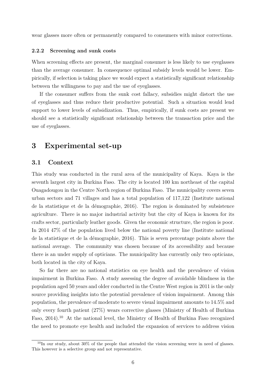wear glasses more often or permanently compared to consumers with minor corrections.

#### **2.2.2 Screening and sunk costs**

When screening effects are present, the marginal consumer is less likely to use eyeglasses than the average consumer. In consequence optimal subsidy levels would be lower. Empirically, if selection is taking place we would expect a statistically significant relationship between the willingness to pay and the use of eyeglasses.

If the consumer suffers from the sunk cost fallacy, subsidies might distort the use of eyeglasses and thus reduce their productive potential. Such a situation would lend support to lower levels of subsidization. Thus, empirically, if sunk costs are present we should see a statistically significant relationship between the transaction price and the use of eyeglasses.

## <span id="page-8-0"></span>**3 Experimental set-up**

### **3.1 Context**

This study was conducted in the rural area of the municipality of Kaya. Kaya is the seventh largest city in Burkina Faso. The city is located 100 km northeast of the capital Ouagadougou in the Centre North region of Burkina Faso. The municipality covers seven urban sectors and 71 villages and has a total population of 117,122 [\(Institute national](#page-22-10) [de la statistique et de la démographie, 2016\)](#page-22-10). The region is dominated by subsistence agriculture. There is no major industrial activity but the city of Kaya is known for its crafts sector, particularly leather goods. Given the economic structure, the region is poor. In 2014 47% of the population lived below the national poverty line [\(Institute national](#page-22-10) [de la statistique et de la démographie, 2016\)](#page-22-10). This is seven percentage points above the national average. The community was chosen because of its accessibility and because there is an under supply of opticians. The municipality has currently only two opticians, both located in the city of Kaya.

So far there are no national statistics on eye health and the prevalence of vision impairment in Burkina Faso. A study assessing the degree of avoidable blindness in the population aged 50 years and older conducted in the Centre West region in 2011 is the only source providing insights into the potential prevalence of vision impairment. Among this population, the prevalence of moderate to severe visual impairment amounts to 14.5% and only every fourth patient (27%) wears corrective glasses [\(Ministry of Health of Burkina](#page-23-8) [Faso, 2014\)](#page-23-8).<sup>[10](#page--1-0)</sup> At the national level, the Ministry of Health of Burkina Faso recognized the need to promote eye health and included the expansion of services to address vision

 $^{10}$ In our study, about 30% of the people that attended the vision screening were in need of glasses. This however is a selective group and not representative.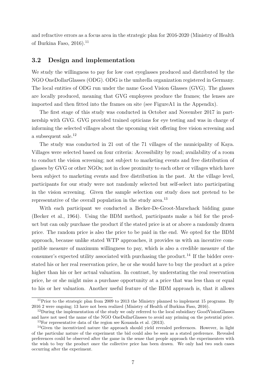and refractive errors as a focus area in the strategic plan for 2016-2020 [\(Ministry of Health](#page-23-9) of Burkina Faso,  $2016$ .<sup>[11](#page--1-0)</sup>

### **3.2 Design and implementation**

We study the willingness to pay for low cost eyeglasses produced and distributed by the NGO OneDollarGlasses (ODG). ODG is the umbrella organization registered in Germany. The local entities of ODG run under the name Good Vision Glasses (GVG). The glasses are locally produced, meaning that GVG employees produce the frames; the lenses are imported and then fitted into the frames on site (see Figur[eA1](#page-37-0) in the Appendix).

The first stage of this study was conducted in October and November 2017 in partnership with GVG. GVG provided trained opticians for eye testing and was in charge of informing the selected villages about the upcoming visit offering free vision screening and a subsequent sale.<sup>[12](#page--1-0)</sup>

The study was conducted in 21 out of the 71 villages of the municipality of Kaya. Villages were selected based on four criteria: Accessibility by road; availability of a room to conduct the vision screening; not subject to marketing events and free distribution of glasses by GVG or other NGOs; not in close proximity to each other or villages which have been subject to marketing events and free distribution in the past. At the village level, participants for our study were not randomly selected but self-select into participating in the vision screening. Given the sample selection our study does not pretend to be representative of the overall population in the study area.<sup>[13](#page--1-0)</sup>

With each participant we conducted a Becker-De-Groot-Marschack bidding game [\(Becker et al., 1964\)](#page-21-7). Using the BDM method, participants make a bid for the product but can only purchase the product if the stated price is at or above a randomly drawn price. The random price is also the price to be paid in the end. We opted for the BDM approach, because unlike stated WTP approaches, it provides us with an incentive compatible measure of maximum willingness to pay, which is also a credible measure of the consumer's expected utility associated with purchasing the product.<sup>[14](#page--1-0)</sup> If the bidder overstated his or her real reservation price, he or she would have to buy the product at a price higher than his or her actual valuation. In contrast, by understating the real reservation price, he or she might miss a purchase opportunity at a price that was less than or equal to his or her valuation. Another useful feature of the BDM approach is, that it allows

<sup>&</sup>lt;sup>11</sup>Prior to the strategic plan from 2009 to 2013 the Ministry planned to implement 15 programs. By 2016 2 were ongoing; 13 have not been realized [\(Ministry of Health of Burkina Faso, 2016\)](#page-23-9).

<sup>&</sup>lt;sup>12</sup>During the implementation of the study we only referred to the local subsidiary GoodVisionGlasses and have not used the name of the NGO OneDollarGlasses to avoid any priming on the potential price. <sup>13</sup>For representative data of the region see [Kouanda et al.](#page-23-10) [\(2013\)](#page-23-10).

<sup>&</sup>lt;sup>14</sup>Given the incentivized nature the approach should yield revealed preferences. However, in light of the particular nature of the experiment the bid could also be seen as a stated preference. Revealed preferences could be observed after the game in the sense that people approach the experimenters with the wish to buy the product once the collective price has been drawn. We only had two such cases occurring after the experiment.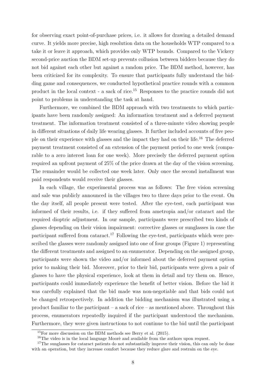for observing exact point-of-purchase prices, i.e. it allows for drawing a detailed demand curve. It yields more precise, high resolution data on the households WTP compared to a take it or leave it approach, which provides only WTP bounds. Compared to the Vickery second-price auction the BDM set-up prevents collusion between bidders because they do not bid against each other but against a random price. The BDM method, however, has been criticized for its complexity. To ensure that participants fully understand the bidding game and consequences, we conducted hypothetical practice rounds with a common product in the local context - a sack of rice.[15](#page--1-0) Responses to the practice rounds did not point to problems in understanding the task at hand.

Furthermore, we combined the BDM approach with two treatments to which participants have been randomly assigned: An information treatment and a deferred payment treatment. The information treatment consisted of a three-minute video showing people in different situations of daily life wearing glasses. It further included accounts of five people on their experience with glasses and the impact they had on their life.[16](#page--1-0) The deferred payment treatment consisted of an extension of the payment period to one week (comparable to a zero interest loan for one week). More precisely the deferred payment option required an upfront payment of 25% of the price drawn at the day of the vision screening. The remainder would be collected one week later. Only once the second installment was paid respondents would receive their glasses.

In each village, the experimental process was as follows: The free vision screening and sale was publicly announced in the villages two to three days prior to the event. On the day itself, all people present were tested. After the eye-test, each participant was informed of their results, i.e. if they suffered from ametropia and/or cataract and the required dioptric adjustment. In our sample, participants were prescribed two kinds of glasses depending on their vision impairment: corrective glasses or sunglasses in case the participant suffered from cataract.<sup>[17](#page--1-0)</sup> Following the eye-test, participants which were prescribed the glasses were randomly assigned into one of four groups (Figure [1\)](#page-24-0) representing the different treatments and assigned to an enumerator. Depending on the assigned group, participants were shown the video and/or informed about the deferred payment option prior to making their bid. Moreover, prior to their bid, participants were given a pair of glasses to have the physical experience, look at them in detail and try them on. Hence, participants could immediately experience the benefit of better vision. Before the bid it was carefully explained that the bid made was non-negotiable and that bids could not be changed retrospectively. In addition the bidding mechanism was illustrated using a product familiar to the participant – a sack of rice – as mentioned above. Throughout this process, enumerators repeatedly inquired if the participant understood the mechanism. Furthermore, they were given instructions to not continue to the bid until the participant

 $15$ For more discussion on the BDM methods see [Berry et al.](#page-21-6) [\(2015\)](#page-21-6).

<sup>&</sup>lt;sup>16</sup>The video is in the local language Moorè and available from the authors upon request.

<sup>&</sup>lt;sup>17</sup>The sunglasses for cataract patients do not substantially improve their vision, this can only be done with an operation, but they increase comfort because they reduce glare and restrain on the eye.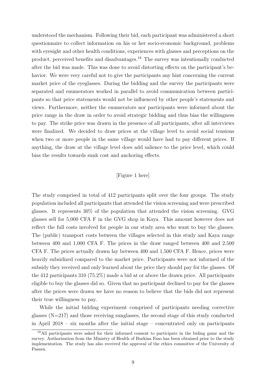understood the mechanism. Following their bid, each participant was administered a short questionnaire to collect information on his or her socio-economic background, problems with eyesight and other health conditions, experiences with glasses and perceptions on the product, perceived benefits and disadvantages.[18](#page--1-0) The survey was intentionally conducted after the bid was made. This was done to avoid distorting effects on the participant's behavior. We were very careful not to give the participants any hint concerning the current market price of the eyeglasses. During the bidding and the survey the participants were separated and enumerators worked in parallel to avoid communication between participants so that price statements would not be influenced by other people's statements and views. Furthermore, neither the enumerators nor participants were informed about the price range in the draw in order to avoid strategic bidding and thus bias the willingness to pay. The strike price was drawn in the presence of all participants, after all interviews were finalized. We decided to draw prices at the village level to avoid social tensions when two or more people in the same village would have had to pay different prices. If anything, the draw at the village level does add salience to the price level, which could bias the results towards sunk cost and anchoring effects.

#### [Figure 1 here]

The study comprised in total of 412 participants split over the four groups. The study population included all participants that attended the vision screening and were prescribed glasses. It represents 30% of the population that attended the vision screening. GVG glasses sell for 5,000 CFA F in the GVG shop in Kaya. This amount however does not reflect the full costs involved for people in our study area who want to buy the glasses. The (public) transport costs between the villages selected in this study and Kaya range between 400 and 1,000 CFA F. The prices in the draw ranged between 400 and 2,500 CFA F. The prices actually drawn lay between 400 and 1,500 CFA F. Hence, prices were heavily subsidized compared to the market price. Participants were not informed of the subsidy they received and only learned about the price they should pay for the glasses. Of the 412 participants 310 (75.2%) made a bid at or above the drawn price. All participants eligible to buy the glasses did so. Given that no participant declined to pay for the glasses after the prices were drawn we have no reason to believe that the bids did not represent their true willingness to pay.

While the initial bidding experiment comprised of participants needing corrective glasses  $(N=217)$  and those receiving sunglasses, the second stage of this study conducted in April 2018 – six months after the initial stage – concentrated only on participants

<sup>&</sup>lt;sup>18</sup>All participants were asked for their informed consent to participate in the biding game and the survey. Authorization from the Ministry of Health of Burkina Faso has been obtained prior to the study implementation. The study has also received the approval of the ethics committee of the University of Passau.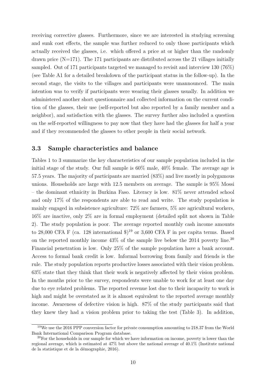receiving corrective glasses. Furthermore, since we are interested in studying screening and sunk cost effects, the sample was further reduced to only those participants which actually received the glasses, i.e. which offered a price at or higher than the randomly drawn price  $(N=171)$ . The 171 participants are distributed across the 21 villages initially sampled. Out of 171 participants targeted we managed to revisit and interview 130 (76%) (see Table A1 for a detailed breakdown of the participant status in the follow-up). In the second stage, the visits to the villages and participants were unannounced. The main intention was to verify if participants were wearing their glasses usually. In addition we administered another short questionnaire and collected information on the current condition of the glasses, their use (self-reported but also reported by a family member and a neighbor), and satisfaction with the glasses. The survey further also included a question on the self-reported willingness to pay now that they have had the glasses for half a year and if they recommended the glasses to other people in their social network.

### **3.3 Sample characteristics and balance**

Tables [1](#page-29-0) to [3](#page-31-0) summarize the key characteristics of our sample population included in the initial stage of the study. Our full sample is 60% male, 40% female. The average age is 57.5 years. The majority of participants are married (83%) and live mostly in polygamous unions. Households are large with 12.5 members on average. The sample is 95% Mossi – the dominant ethnicity in Burkina Faso. Literacy is low. 81% never attended school and only 17% of the respondents are able to read and write. The study population is mainly engaged in subsistence agriculture: 72% are farmers, 5% are agricultural workers, 16% are inactive, only 2% are in formal employment (detailed split not shown in Table [2\)](#page-30-0). The study population is poor. The average reported monthly cash income amounts to 28,000 CFA F (ca. 128 international  $\ell$ )<sup>[19](#page--1-0)</sup> or 3,600 CFA F in per capita terms. Based on the reported monthly income  $43\%$  of the sample live below the [20](#page--1-0)14 poverty line.<sup>20</sup> Financial penetration is low. Only 25% of the sample population have a bank account. Access to formal bank credit is low. Informal borrowing from family and friends is the rule. The study population reports productive losses associated with their vision problem. 63% state that they think that their work is negatively affected by their vision problem. In the months prior to the survey, respondents were unable to work for at least one day due to eye related problems. The reported revenue lost due to their incapacity to work is high and might be overstated as it is almost equivalent to the reported average monthly income. Awareness of defective vision is high. 87% of the study participants said that they knew they had a vision problem prior to taking the test (Table [3\)](#page-31-0). In addition,

<sup>19</sup>We use the 2016 PPP conversion factor for private consumption amounting to 218.37 from the World Bank International Comparison Program database.

 $20$  For the households in our sample for which we have information on income, poverty is lower than the regional average, which is estimated at 47% but above the national average of 40.1% [\(Institute national](#page-22-10) [de la statistique et de la démographie, 2016\)](#page-22-10).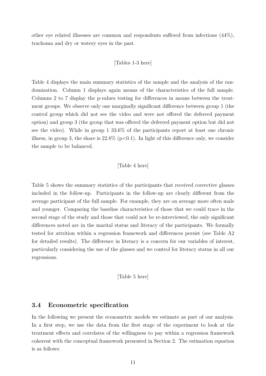other eye related illnesses are common and respondents suffered from infections (44%), trachoma and dry or watery eyes in the past.

[Tables 1-3 here]

Table [4](#page-32-0) displays the main summary statistics of the sample and the analysis of the randomization. Column 1 displays again means of the characteristics of the full sample. Columns 2 to 7 display the p-values testing for differences in means between the treatment groups. We observe only one marginally significant difference between group 1 (the control group which did not see the video and were not offered the deferred payment option) and group 3 (the group that was offered the deferred payment option but did not see the video). While in group 1 33.6% of the participants report at least one chronic illness, in group 3, the share is  $22.8\%$  (p $< 0.1$ ). In light of this difference only, we consider the sample to be balanced.

#### [Table 4 here]

Table [5](#page-33-0) shows the summary statistics of the participants that received corrective glasses included in the follow-up. Participants in the follow-up are clearly different from the average participant of the full sample. For example, they are on average more often male and younger. Comparing the baseline characteristics of those that we could trace in the second stage of the study and those that could not be re-interviewed, the only significant differences noted are in the marital status and literacy of the participants. We formally tested for attrition within a regression framework and differences persist (see Table [A2](#page-39-0) for detailed results). The difference in literacy is a concern for our variables of interest, particularly considering the use of the glasses and we control for literacy status in all our regressions.

[Table 5 here]

### **3.4 Econometric specification**

In the following we present the econometric models we estimate as part of our analysis. In a first step, we use the data from the first stage of the experiment to look at the treatment effects and correlates of the willingness to pay within a regression framework coherent with the conceptual framework presented in Section [2.](#page-6-0) The estimation equation is as follows: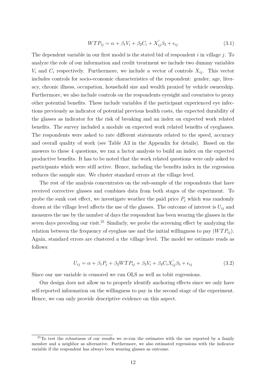$$
WTP_{ij} = \alpha + \beta_1 V_i + \beta_2 C_i + X_{ij}' \beta_3 + \epsilon_{ij}
$$
\n
$$
(3.1)
$$

The dependent variable in our first model is the stated bid of respondent *i* in village *j*. To analyze the role of our information and credit treatment we include two dummy variables  $V_i$  and  $C_i$  respectively. Furthermore, we include a vector of controls  $X_{ij}$ . This vector includes controls for socio-economic characteristics of the respondent: gender, age, literacy, chronic illness, occupation, household size and wealth proxied by vehicle ownership. Furthermore, we also include controls on the respondents eyesight and covariates to proxy other potential benefits. These include variables if the participant experienced eye infections previously as indicator of potential previous health costs, the expected durability of the glasses as indicator for the risk of breaking and an index on expected work related benefits. The survey included a module on expected work related benefits of eyeglasses. The respondents were asked to rate different statements related to the speed, accuracy and overall quality of work (see Table [A3](#page-40-0) in the Appendix for details). Based on the answers to these 4 questions, we ran a factor analysis to build an index on the expected productive benefits. It has to be noted that the work related questions were only asked to participants which were still active. Hence, including the benefits index in the regression reduces the sample size. We cluster standard errors at the village level.

The rest of the analysis concentrates on the sub-sample of the respondents that have received corrective glasses and combines data from both stages of the experiment. To probe the sunk cost effect, we investigate weather the paid price  $P_j$  which was randomly drawn at the village level affects the use of the glasses. The outcome of interest is  $U_{ij}$  and measures the use by the number of days the respondent has been wearing the glasses in the seven days preceding our visit.<sup>[21](#page--1-0)</sup> Similarly, we probe the screening effect by analyzing the relation between the frequency of eyeglass use and the initial willingness to pay  $(WTP_{ij})$ . Again, standard errors are clustered a the village level. The model we estimate reads as follows:

$$
U_{ij} = \alpha + \beta_1 P_j + \beta_2 W T P_{ij} + \beta_3 V_i + \beta_4 C_i X'_{ij} \beta_5 + \epsilon_{ij}
$$
\n(3.2)

Since our use variable is censored we run OLS as well as tobit regressions.

Our design does not allow us to properly identify anchoring effects since we only have self-reported information on the willingness to pay in the second stage of the experiment. Hence, we can only provide descriptive evidence on this aspect.

 $21$ To test the robustness of our results we re-run the estimates with the use reported by a family member and a neighbor as alternative. Furthermore, we also estimated regressions with the indicator variable if the respondent has always been wearing glasses as outcome.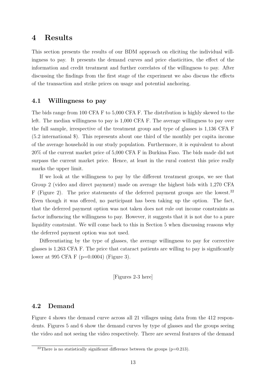## <span id="page-15-0"></span>**4 Results**

This section presents the results of our BDM approach on eliciting the individual willingness to pay. It presents the demand curves and price elasticities, the effect of the information and credit treatment and further correlates of the willingness to pay. After discussing the findings from the first stage of the experiment we also discuss the effects of the transaction and strike prices on usage and potential anchoring.

### **4.1 Willingness to pay**

The bids range from 100 CFA F to 5,000 CFA F. The distribution is highly skewed to the left. The median willingness to pay is 1,000 CFA F. The average willingness to pay over the full sample, irrespective of the treatment group and type of glasses is 1,136 CFA F (5.2 international \$). This represents about one third of the monthly per capita income of the average household in our study population. Furthermore, it is equivalent to about 20% of the current market price of 5,000 CFA F in Burkina Faso. The bids made did not surpass the current market price. Hence, at least in the rural context this price really marks the upper limit.

If we look at the willingness to pay by the different treatment groups, we see that Group 2 (video and direct payment) made on average the highest bids with 1,270 CFA F (Figure [2\)](#page-25-0). The price statements of the deferred payment groups are the lowest.<sup>[22](#page--1-0)</sup> Even though it was offered, no participant has been taking up the option. The fact, that the deferred payment option was not taken does not rule out income constraints as factor influencing the willingness to pay. However, it suggests that it is not due to a pure liquidity constraint. We will come back to this in Section [5](#page-19-0) when discussing reasons why the deferred payment option was not used.

Differentiating by the type of glasses, the average willingness to pay for corrective glasses is 1,263 CFA F. The price that cataract patients are willing to pay is significantly lower at 995 CFA F (p=0.0004) (Figure 3).

[Figures 2-3 here]

#### **4.2 Demand**

Figure [4](#page-26-0) shows the demand curve across all 21 villages using data from the 412 respondents. Figures [5](#page-26-1) and [6](#page-26-2) show the demand curves by type of glasses and the groups seeing the video and not seeing the video respectively. There are several features of the demand

<sup>&</sup>lt;sup>22</sup>There is no statistically significant difference between the groups ( $p=0.213$ ).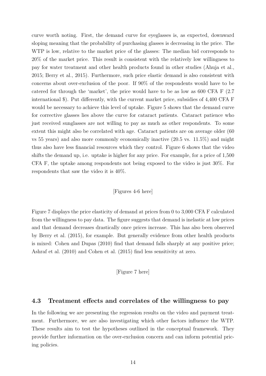curve worth noting. First, the demand curve for eyeglasses is, as expected, downward sloping meaning that the probability of purchasing glasses is decreasing in the price. The WTP is low, relative to the market price of the glasses: The median bid corresponds to 20% of the market price. This result is consistent with the relatively low willingness to pay for water treatment and other health products found in other studies [\(Ahuja et al.,](#page-21-2) [2015;](#page-21-2) [Berry et al., 2015\)](#page-21-6). Furthermore, such price elastic demand is also consistent with concerns about over-exclusion of the poor. If 90% of the respondents would have to be catered for through the 'market', the price would have to be as low as 600 CFA F (2.7 international \$). Put differently, with the current market price, subsidies of 4,400 CFA F would be necessary to achieve this level of uptake. Figure [5](#page-26-1) shows that the demand curve for corrective glasses lies above the curve for cataract patients. Cataract patience who just received sunglasses are not willing to pay as much as other respondents. To some extent this might also be correlated with age. Cataract patients are on average older (60 vs 55 years) and also more commonly economically inactive (20.5 vs. 11.5%) and might thus also have less financial resources which they control. Figure [6](#page-26-2) shows that the video shifts the demand up, i.e. uptake is higher for any price. For example, for a price of 1,500 CFA F, the uptake among respondents not being exposed to the video is just 30%. For respondents that saw the video it is 40%.

#### [Figures 4-6 here]

Figure [7](#page-27-0) displays the price elasticity of demand at prices from 0 to 3,000 CFA F calculated from the willingness to pay data. The figure suggests that demand is inelastic at low prices and that demand decreases drastically once prices increase. This has also been observed by [Berry et al.](#page-21-6) [\(2015\)](#page-21-6), for example. But generally evidence from other health products is mixed: [Cohen and Dupas](#page-22-0) [\(2010\)](#page-22-0) find that demand falls sharply at any positive price; [Ashraf et al.](#page-21-0) [\(2010\)](#page-21-0) and [Cohen et al.](#page-22-11) [\(2015\)](#page-22-11) find less sensitivity at zero.

[Figure 7 here]

### **4.3 Treatment effects and correlates of the willingness to pay**

In the following we are presenting the regression results on the video and payment treatment. Furthermore, we are also investigating which other factors influence the WTP. These results aim to test the hypotheses outlined in the conceptual framework. They provide further information on the over-exclusion concern and can inform potential pricing policies.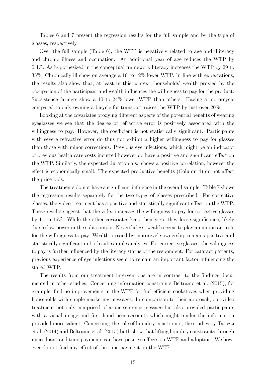Tables [6](#page-34-0) and [7](#page-35-0) present the regression results for the full sample and by the type of glasses, respectively.

Over the full sample (Table [6\)](#page-34-0), the WTP is negatively related to age and illiteracy and chronic illness and occupation. An additional year of age reduces the WTP by 0.4%. As hypothesized in the conceptual framework literacy increases the WTP by 29 to 35%. Chronically ill show on average a 10 to 12% lower WTP. In line with expectations, the results also show that, at least in this context, households' wealth proxied by the occupation of the participant and wealth influences the willingness to pay for the product. Subsistence farmers show a 10 to 24% lower WTP than others. Having a motorcycle compared to only owning a bicycle for transport raises the WTP by just over 20%.

Looking at the covariates proxying different aspects of the potential benefits of wearing eyeglasses we see that the degree of refractive error is positively associated with the willingness to pay. However, the coefficient is not statistically significant. Participants with severe refractive error do thus not exhibit a higher willingness to pay for glasses than those with minor corrections. Previous eye infections, which might be an indicator of previous health care costs incurred however do have a positive and significant effect on the WTP. Similarly, the expected duration also shows a positive correlation, however the effect is economically small. The expected productive benefits (Column 4) do not affect the price bids.

The treatments do not have a significant influence in the overall sample. Table [7](#page-35-0) shows the regression results separately for the two types of glasses prescribed. For corrective glasses, the video treatment has a positive and statistically significant effect on the WTP. These results suggest that the video increases the willingness to pay for corrective glasses by 11 to 16%. While the other covariates keep their sign, they loose significance, likely due to low power in the split sample. Nevertheless, wealth seems to play an important role for the willingness to pay. Wealth proxied by motorcycle ownership remains positive and statistically significant in both sub-sample analyses. For corrective glasses, the willingness to pay is further influenced by the literacy status of the respondent. For cataract patients, previous experience of eye infections seem to remain an important factor influencing the stated WTP.

The results from our treatment interventions are in contrast to the findings documented in other studies. Concerning information constraints [Beltramo et al.](#page-21-4) [\(2015\)](#page-21-4), for example, find no improvements in the WTP for fuel efficient cookstoves when providing households with simple marketing messages. In comparison to their approach, our video treatment not only comprised of a one-sentence message but also provided participants with a visual image and first hand user accounts which might render the information provided more salient. Concerning the role of liquidity constraints, the studies by [Tarozzi](#page-23-1) [et al.](#page-23-1) [\(2014\)](#page-23-1) and [Beltramo et al.](#page-21-4) [\(2015\)](#page-21-4) both show that lifting liquidity constraints through micro loans and time payments can have positive effects on WTP and adoption. We however do not find any effect of the time payment on the WTP.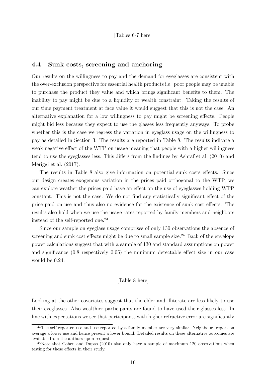### **4.4 Sunk costs, screening and anchoring**

Our results on the willingness to pay and the demand for eyeglasses are consistent with the over-exclusion perspective for essential health products i.e. poor people may be unable to purchase the product they value and which brings significant benefits to them. The inability to pay might be due to a liquidity or wealth constraint. Taking the results of our time payment treatment at face value it would suggest that this is not the case. An alternative explanation for a low willingness to pay might be screening effects. People might bid less because they expect to use the glasses less frequently anyways. To probe whether this is the case we regress the variation in eyeglass usage on the willingness to pay as detailed in Section [3.](#page-8-0) The results are reported in Table [8.](#page-36-0) The results indicate a weak negative effect of the WTP on usage meaning that people with a higher willingness tend to use the eyeglasses less. This differs from the findings by [Ashraf et al.](#page-21-0) [\(2010\)](#page-21-0) and [Meriggi et al.](#page-23-4) [\(2017\)](#page-23-4).

The results in Table [8](#page-36-0) also give information on potential sunk costs effects. Since our design creates exogenous variation in the prices paid orthogonal to the WTP, we can explore weather the prices paid have an effect on the use of eyeglasses holding WTP constant. This is not the case. We do not find any statistically significant effect of the price paid on use and thus also no evidence for the existence of sunk cost effects. The results also hold when we use the usage rates reported by family members and neighbors instead of the self-reported one.<sup>[23](#page--1-0)</sup>

Since our sample on eyeglass usage comprises of only 130 observations the absence of screening and sunk cost effects might be due to small sample size.<sup>[24](#page--1-0)</sup> Back of the envelope power calculations suggest that with a sample of 130 and standard assumptions on power and significance (0.8 respectively 0.05) the minimum detectable effect size in our case would be 0.24.

#### [Table 8 here]

Looking at the other covariates suggest that the elder and illiterate are less likely to use their eyeglasses. Also wealthier participants are found to have used their glasses less. In line with expectations we see that participants with higher refractive error are significantly

<sup>&</sup>lt;sup>23</sup>The self-reported use and use reported by a family member are very similar. Neighbours report on average a lower use and hence present a lower bound. Detailed results on these alternative outcomes are available from the authors upon request.

<sup>&</sup>lt;sup>24</sup>Note that [Cohen and Dupas](#page-22-0) [\(2010\)](#page-22-0) also only have a sample of maximum 120 observations when testing for these effects in their study.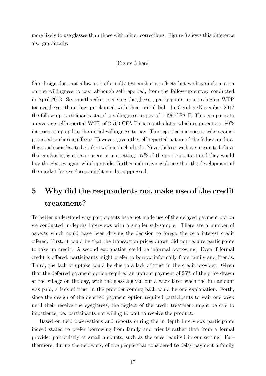more likely to use glasses than those with minor corrections. Figure [8](#page-28-0) shows this difference also graphically.

#### [Figure 8 here]

Our design does not allow us to formally test anchoring effects but we have information on the willingness to pay, although self-reported, from the follow-up survey conducted in April 2018. Six months after receiving the glasses, participants report a higher WTP for eyeglasses than they proclaimed with their initial bid. In October/November 2017 the follow-up participants stated a willingness to pay of 1,499 CFA F. This compares to an average self-reported WTP of 2,703 CFA F six months later which represents an 80% increase compared to the initial willingness to pay. The reported increase speaks against potential anchoring effects. However, given the self-reported nature of the follow-up data, this conclusion has to be taken with a pinch of salt. Nevertheless, we have reason to believe that anchoring is not a concern in our setting. 97% of the participants stated they would buy the glasses again which provides further indicative evidence that the development of the market for eyeglasses might not be suppressed.

# <span id="page-19-0"></span>**5 Why did the respondents not make use of the credit treatment?**

To better understand why participants have not made use of the delayed payment option we conducted in-depths interviews with a smaller sub-sample. There are a number of aspects which could have been driving the decision to forego the zero interest credit offered. First, it could be that the transaction prices drawn did not require participants to take up credit. A second explanation could be informal borrowing. Even if formal credit is offered, participants might prefer to borrow informally from family and friends. Third, the lack of uptake could be due to a lack of trust in the credit provider. Given that the deferred payment option required an upfront payment of 25% of the price drawn at the village on the day, with the glasses given out a week later when the full amount was paid, a lack of trust in the provider coming back could be one explanation. Forth, since the design of the deferred payment option required participants to wait one week until their receive the eyeglasses, the neglect of the credit treatment might be due to impatience, i.e. participants not willing to wait to receive the product.

Based on field observations and reports during the in-depth interviews participants indeed stated to prefer borrowing from family and friends rather than from a formal provider particularly at small amounts, such as the ones required in our setting. Furthermore, during the fieldwork, of five people that considered to delay payment a family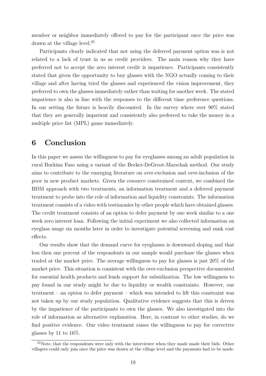member or neighbor immediately offered to pay for the participant once the price was drawn at the village level.<sup>[25](#page--1-0)</sup>

Participants clearly indicated that not using the deferred payment option was is not related to a lack of trust in us as credit providers. The main reason why they have preferred not to accept the zero interest credit is impatience. Participants consistently stated that given the opportunity to buy glasses with the NGO actually coming to their village and after having tried the glasses and experienced the vision improvement, they preferred to own the glasses immediately rather than waiting for another week. The stated impatience is also in line with the responses to the different time preference questions. In our setting the future is heavily discounted. In the survey where over 90% stated that they are generally impatient and consistently also preferred to take the money in a multiple price list (MPL) game immediately.

## <span id="page-20-0"></span>**6 Conclusion**

In this paper we assess the willingness to pay for eyeglasses among an adult population in rural Burkina Faso using a variant of the Becker-DeGroot-Marschak method. Our study aims to contribute to the emerging literature on over-exclusion and over-inclusion of the poor in new product markets. Given the resource constrained context, we combined the BDM approach with two treatments, an information treatment and a deferred payment treatment to probe into the role of information and liquidity constraints. The information treatment consists of a video with testimonies by other people which have obtained glasses. The credit treatment consists of an option to defer payment by one week similar to a one week zero interest loan. Following the initial experiment we also collected information on eyeglass usage six months later in order to investigate potential screening and sunk cost effects.

Our results show that the demand curve for eyeglasses is downward sloping and that less then one percent of the respondents in our sample would purchase the glasses when traded at the market price. The average willingness to pay for glasses is just 20% of the market price. This situation is consistent with the over-exclusion perspective documented for essential health products and lends support for subsidization. The low willingness to pay found in our study might be due to liquidity or wealth constraints. However, our treatment – an option to defer payment – which was intended to lift this constraint was not taken up by our study population. Qualitative evidence suggests that this is driven by the impatience of the participants to own the glasses. We also investigated into the role of information as alternative explanation. Here, in contrast to other studies, do we find positive evidence. Our video treatment raises the willingness to pay for corrective glasses by 11 to  $16\%$ .

 $^{25}$ Note, that the respondents were only with the interviewer when they made made their bids. Other villagers could only join once the price was drawn at the village level and the payments had to be made.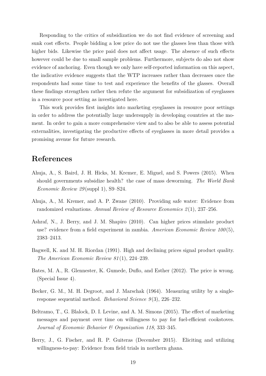Responding to the critics of subsidization we do not find evidence of screening and sunk cost effects. People bidding a low price do not use the glasses less than those with higher bids. Likewise the price paid does not affect usage. The absence of such effects however could be due to small sample problems. Furthermore, subjects do also not show evidence of anchoring. Even though we only have self-reported information on this aspect, the indicative evidence suggests that the WTP increases rather than decreases once the respondents had some time to test and experience the benefits of the glasses. Overall these findings strengthen rather then refute the argument for subsidization of eyeglasses in a resource poor setting as investigated here.

This work provides first insights into marketing eyeglasses in resource poor settings in order to address the potentially large undersupply in developing countries at the moment. In order to gain a more comprehensive view and to also be able to assess potential externalities, investigating the productive effects of eyeglasses in more detail provides a promising avenue for future research.

## **References**

- <span id="page-21-2"></span>Ahuja, A., S. Baird, J. H. Hicks, M. Kremer, E. Miguel, and S. Powers (2015). When should governments subsidize health? the case of mass deworming. *The World Bank Economic Review 29* (suppl 1), S9–S24.
- <span id="page-21-1"></span>Ahuja, A., M. Kremer, and A. P. Zwane (2010). Providing safe water: Evidence from randomized evaluations. *Annual Review of Resource Economics 2* (1), 237–256.
- <span id="page-21-0"></span>Ashraf, N., J. Berry, and J. M. Shapiro (2010). Can higher prices stimulate product use? evidence from a field experiment in zambia. *American Economic Review 100* (5), 2383–2413.
- <span id="page-21-5"></span>Bagwell, K. and M. H. Riordan (1991). High and declining prices signal product quality. *The American Economic Review 81* (1), 224–239.
- <span id="page-21-3"></span>Bates, M. A., R. Glennester, K. Gumede, Duflo, and Esther (2012). The price is wrong. (Special Issue 4).
- <span id="page-21-7"></span>Becker, G. M., M. H. Degroot, and J. Marschak (1964). Measuring utility by a singleresponse sequential method. *Behavioral Science 9* (3), 226–232.
- <span id="page-21-4"></span>Beltramo, T., G. Blalock, D. I. Levine, and A. M. Simons (2015). The effect of marketing messages and payment over time on willingness to pay for fuel-efficient cookstoves. *Journal of Economic Behavior & Organization 118*, 333–345.
- <span id="page-21-6"></span>Berry, J., G. Fischer, and R. P. Guiteras (December 2015). Eliciting and utilizing willingness-to-pay: Evidence from field trials in northern ghana.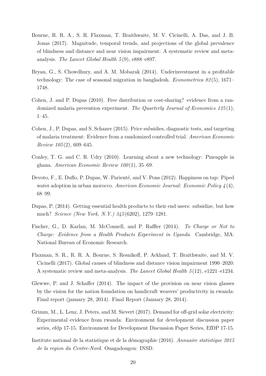- <span id="page-22-7"></span>Bourne, R. R. A., S. R. Flaxman, T. Braithwaite, M. V. Cicinelli, A. Das, and J. B. Jonas (2017). Magnitude, temporal trends, and projections of the global prevalence of blindness and distance and near vision impairment: A systematic review and metaanalysis. *The Lancet Global Health 5* (9), e888–e897.
- <span id="page-22-3"></span>Bryan, G., S. Chowdhury, and A. M. Mobarak (2014). Underinvestment in a profitable technology: The case of seasonal migration in bangladesh. *Econometrica 82* (5), 1671– 1748.
- <span id="page-22-0"></span>Cohen, J. and P. Dupas (2010). Free distribution or cost-sharing? evidence from a randomized malaria prevention experiment. *The Quarterly Journal of Economics 125* (1), 1–45.
- <span id="page-22-11"></span>Cohen, J., P. Dupas, and S. Schaner (2015). Price subsidies, diagnostic tests, and targeting of malaria treatment: Evidence from a randomized controlled trial. *American Economic Review 105* (2), 609–645.
- <span id="page-22-4"></span>Conley, T. G. and C. R. Udry (2010). Learning about a new technology: Pineapple in ghana. *American Economic Review 100* (1), 35–69.
- <span id="page-22-1"></span>Devoto, F., E. Duflo, P. Dupas, W. Parienté, and V. Pons (2012). Happiness on tap: Piped water adoption in urban morocco. *American Economic Journal: Economic Policy 4* (4), 68–99.
- <span id="page-22-2"></span>Dupas, P. (2014). Getting essential health products to their end users: subsidize, but how much? *Science (New York, N.Y.) 345* (6202), 1279–1281.
- <span id="page-22-5"></span>Fischer, G., D. Karlan, M. McConnell, and P. Raffler (2014). *To Charge or Not to Charge: Evidence from a Health Products Experiment in Uganda*. Cambridge, MA: National Bureau of Economic Research.
- <span id="page-22-8"></span>Flaxman, S. R., R. R. A. Bourne, S. Resnikoff, P. Ackland, T. Braithwaite, and M. V. Cicinelli (2017). Global causes of blindness and distance vision impairment 1990–2020: A systematic review and meta-analysis. *The Lancet Global Health 5* (12), e1221–e1234.
- <span id="page-22-6"></span>Glewwe, P. and J. Schaffer (2014). The impact of the provision on near vision glasses by the vision for the nation foundation on handicraft weavers' productivity in rwanda: Final report (january 28, 2014). Final Report (January 28, 2014).
- <span id="page-22-9"></span>Grimm, M., L. Lenz, J. Peters, and M. Sievert (2017). Demand for off-grid solar electricity: Experimental evidence from rwanda: Environment for development discussion paper series, efdp 17-15. Environment for Development Discussion Paper Series, EfDP 17-15.
- <span id="page-22-10"></span>Institute national de la statistique et de la démographie (2016). *Annuaire statistique 2015 de la region du Centre-Nord*. Ouagadougou: INSD.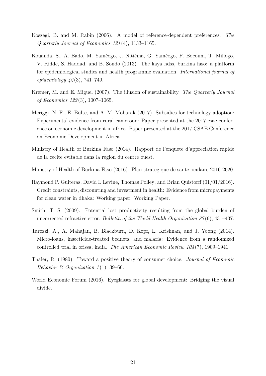- <span id="page-23-3"></span>Koszegi, B. and M. Rabin (2006). A model of reference-dependent preferences. *The Quarterly Journal of Economics 121* (4), 1133–1165.
- <span id="page-23-10"></span>Kouanda, S., A. Bado, M. Yaméogo, J. Nitièma, G. Yaméogo, F. Bocoum, T. Millogo, V. Ridde, S. Haddad, and B. Sondo (2013). The kaya hdss, burkina faso: a platform for epidemiological studies and health programme evaluation. *International journal of epidemiology 42* (3), 741–749.
- <span id="page-23-0"></span>Kremer, M. and E. Miguel (2007). The illusion of sustainability. *The Quarterly Journal of Economics 122* (3), 1007–1065.
- <span id="page-23-4"></span>Meriggi, N. F., E. Bulte, and A. M. Mobarak (2017). Subsidies for technology adoption: Experimental evidence from rural cameroon: Paper presented at the 2017 csae conference on economic development in africa. Paper presented at the 2017 CSAE Conference on Economic Development in Africa.
- <span id="page-23-8"></span>Ministry of Health of Burkina Faso (2014). Rapport de l'enquete d'appreciation rapide de la cecite evitable dans la region du centre ouest.
- <span id="page-23-9"></span>Ministry of Health of Burkina Faso (2016). Plan strategique de sante oculaire 2016-2020.
- <span id="page-23-7"></span>Raymond P. Guiteras, David I. Levine, Thomas Polley, and Brian Quistorff (01/01/2016). Credit constraints, discounting and investment in health: Evidence from micropayments for clean water in dhaka: Working paper. Working Paper.
- <span id="page-23-6"></span>Smith, T. S. (2009). Potential lost productivity resulting from the global burden of uncorrected refractive error. *Bulletin of the World Health Organization 87* (6), 431–437.
- <span id="page-23-1"></span>Tarozzi, A., A. Mahajan, B. Blackburn, D. Kopf, L. Krishnan, and J. Yoong (2014). Micro-loans, insecticide-treated bednets, and malaria: Evidence from a randomized controlled trial in orissa, india. *The American Economic Review 104* (7), 1909–1941.
- <span id="page-23-2"></span>Thaler, R. (1980). Toward a positive theory of consumer choice. *Journal of Economic Behavior & Organization 1* (1), 39–60.
- <span id="page-23-5"></span>World Economic Forum (2016). Eyeglasses for global development: Bridging the visual divide.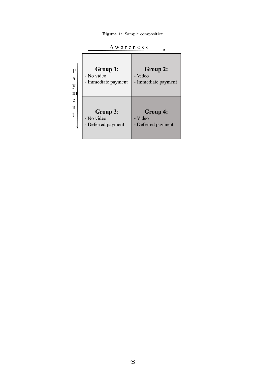**Figure 1:** Sample composition

<span id="page-24-0"></span>

|                               | wareness                                      |                                                   |
|-------------------------------|-----------------------------------------------|---------------------------------------------------|
| $\overline{P}$<br>a<br>y<br>m | Group 1:<br>- No video<br>- Immediate payment | <b>Group 2:</b><br>- Video<br>- Immediate payment |
| e<br>n<br>t                   | Group 3:<br>- No video<br>- Deferred payment  | Group 4:<br>- Video<br>- Deferred payment         |

Awareness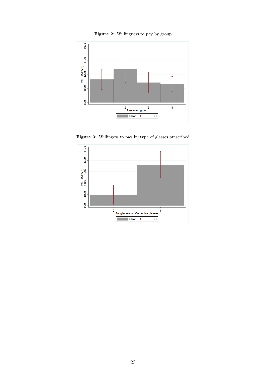

<span id="page-25-0"></span>

Figure 3: Willingess to pay by type of glasses prescribed

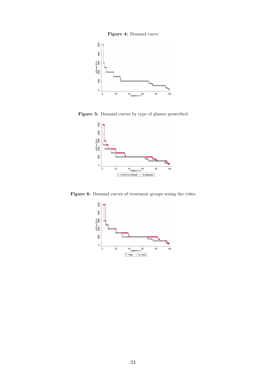<span id="page-26-0"></span>

<span id="page-26-1"></span>**Figure 5:** Demand curves by type of glasses prescribed



<span id="page-26-2"></span>Figure 6: Demand curves of treatment groups seeing the video

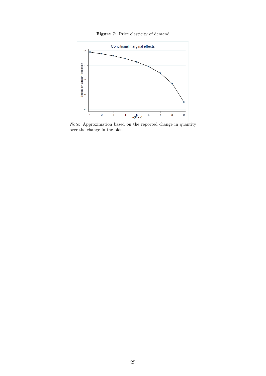**Figure 7:** Price elasticity of demand

<span id="page-27-0"></span>

*Note*: Approximation based on the reported change in quantity over the change in the bids.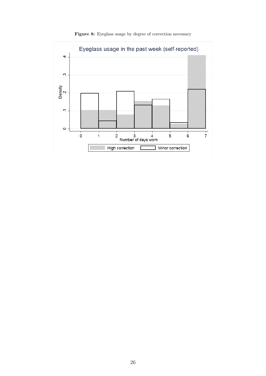<span id="page-28-0"></span>

Figure 8: Eyeglass usage by degree of correction necessary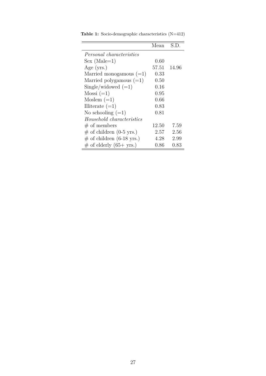|                                 | Mean  | S.D.     |
|---------------------------------|-------|----------|
| <i>Personal characteristics</i> |       |          |
| $Sex (Male=1)$                  | 0.60  |          |
| Age $(yrs.)$                    | 57.51 | 14.96    |
| Married monogamous $(=1)$       | 0.33  |          |
| Married polygamous $(=1)$       | 0.50  |          |
| $Single/widowed (=1)$           | 0.16  |          |
| $Mossi (=1)$                    | 0.95  |          |
| Moslem $(=1)$                   | 0.66  |          |
| Illiterate $(=1)$               | 0.83  |          |
| No schooling $(=1)$             | 0.81  |          |
| Household characteristics       |       |          |
| # of members                    | 12.50 | 7.59     |
| $\#$ of children (0-5 yrs.)     | 2.57  | 2.56     |
| $\#$ of children (6-18 yrs.)    | 4.28  | 2.99     |
| $\#$ of elderly (65+ yrs.)      | 0.86  | $0.83\,$ |

<span id="page-29-0"></span>**Table 1:** Socio-demographic characteristics (N=412)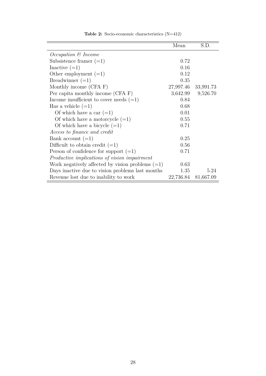<span id="page-30-0"></span>

|                                                    | Mean      | S.D.              |
|----------------------------------------------------|-----------|-------------------|
| <i>Occupation</i> & <i>Income</i>                  |           |                   |
| Subsistence framer $(=1)$                          | 0.72      |                   |
| Inactive $(=1)$                                    | 0.16      |                   |
| Other employment $(=1)$                            | 0.12      |                   |
| Breadwinner $(=1)$                                 | 0.35      |                   |
| Monthly income (CFA F)                             | 27,997.46 | 33,991.73         |
| Per capita monthly income (CFA F)                  |           | 3,642.99 9,526.70 |
| Income insufficient to cover needs $(=1)$          | 0.84      |                   |
| Has a vehicle $(=1)$                               | 0.68      |                   |
| Of which have a car $(=1)$                         | 0.01      |                   |
| Of which have a motorcycle $(=1)$                  | 0.55      |                   |
| Of which have a bicycle $(=1)$                     | 0.71      |                   |
| Access to finance and credit                       |           |                   |
| Bank account $(=1)$                                | 0.25      |                   |
| Difficult to obtain credit $(=1)$                  | 0.56      |                   |
| Person of confidence for support $(=1)$            | 0.71      |                   |
| Productive implications of vision impairment       |           |                   |
| Work negatively affected by vision problems $(=1)$ | 0.63      |                   |
| Days inactive due to vision problems last months   | 1.35      | 5.24              |
| Revenue lost due to inability to work              | 22,736.84 | 81,667.09         |

**Table 2:** Socio-economic characteristics (N=412)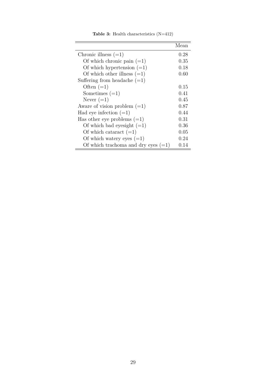<span id="page-31-0"></span>

|                                       | Mean |
|---------------------------------------|------|
| Chronic illness $(=1)$                | 0.28 |
| Of which chronic pain $(=1)$          | 0.35 |
| Of which hypertension $(=1)$          | 0.18 |
| Of which other illness $(=1)$         | 0.60 |
| Suffering from headache $(=1)$        |      |
| Often $(=1)$                          | 0.15 |
| Sometimes $(=1)$                      | 0.41 |
| Never $(=1)$                          | 0.45 |
| Aware of vision problem $(=1)$        | 0.87 |
| Had eye infection $(=1)$              | 0.44 |
| Has other eye problems $(=1)$         | 0.31 |
| Of which bad eyesight $(=1)$          | 0.36 |
| Of which cataract $(=1)$              | 0.05 |
| Of which watery eyes $(=1)$           | 0.24 |
| Of which trachoma and dry eyes $(=1)$ | 0.14 |

**Table 3:** Health characteristics (N=412)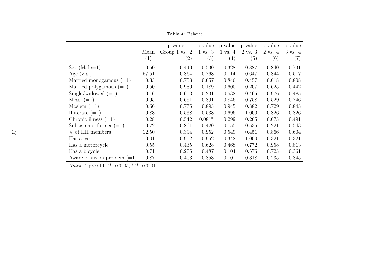**Table 4:** Balance

|                                |       | p-value           | p-value            | p-value            | p-value            | p-value            | p-value            |
|--------------------------------|-------|-------------------|--------------------|--------------------|--------------------|--------------------|--------------------|
|                                | Mean  | Group 1 vs. 2     | $1 \text{ vs. } 3$ | $1 \text{ vs. } 4$ | $2 \text{ vs. } 3$ | $2 \text{ vs. } 4$ | $3 \text{ vs. } 4$ |
|                                | (1)   | $\left( 2\right)$ | (3)                | (4)                | (5)                | (6)                | (7)                |
| $Sex (Male=1)$                 | 0.60  | 0.440             | 0.530              | 0.328              | 0.887              | 0.840              | 0.731              |
| Age $(yrs.)$                   | 57.51 | 0.864             | 0.768              | 0.714              | 0.647              | 0.844              | 0.517              |
| Married monogamous $(=1)$      | 0.33  | 0.753             | 0.657              | 0.846              | 0.457              | 0.618              | 0.808              |
| Married polygamous $(=1)$      | 0.50  | 0.980             | 0.189              | 0.600              | 0.207              | 0.625              | 0.442              |
| Single/widowed $(=1)$          | 0.16  | 0.653             | 0.231              | 0.632              | 0.465              | 0.976              | 0.485              |
| $Mossi (=1)$                   | 0.95  | 0.651             | 0.891              | 0.846              | 0.758              | 0.529              | 0.746              |
| Moslem $(=1)$                  | 0.66  | 0.775             | 0.893              | 0.945              | 0.882              | 0.729              | 0.843              |
| Illiterate $(=1)$              | 0.83  | 0.538             | 0.538              | 0.696              | 1.000              | 0.826              | 0.826              |
| Chronic illness $(=1)$         | 0.28  | 0.542             | $0.081*$           | 0.299              | 0.265              | 0.673              | 0.491              |
| Subsistence farmer $(=1)$      | 0.72  | 0.861             | 0.420              | 0.155              | 0.536              | 0.221              | 0.543              |
| $#$ of HH members              | 12.50 | 0.394             | 0.952              | 0.549              | 0.451              | 0.866              | 0.604              |
| Has a car                      | 0.01  | 0.952             | 0.952              | 0.342              | 1.000              | 0.321              | 0.321              |
| Has a motorcycle               | 0.55  | 0.435             | 0.628              | 0.468              | 0.772              | 0.958              | 0.813              |
| Has a bicycle                  | 0.71  | 0.205             | 0.487              | 0.104              | 0.576              | 0.723              | 0.361              |
| Aware of vision problem $(=1)$ | 0.87  | 0.403             | 0.853              | 0.701              | 0.318              | 0.235              | 0.845              |

<span id="page-32-0"></span>*Notes:* \* p<0.10, \*\* p<0.05, \*\*\* p<0.01.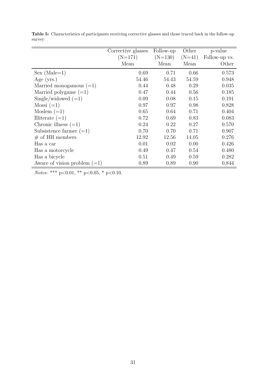|                                | Corrective glasses | Follow-up | Other    | p-value       |
|--------------------------------|--------------------|-----------|----------|---------------|
|                                | $(N=171)$          | $(N=130)$ | $(N=41)$ | Follow-up vs. |
|                                | Mean               | Mean      | Mean     | Other         |
| $Sex (Male=1)$                 | 0.69               | 0.71      | 0.66     | 0.573         |
| Age $(yrs.)$                   | 54.46              | 54.43     | 54.59    | 0.948         |
| Married monogamous $(=1)$      | 0.44               | 0.48      | 0.29     | 0.035         |
| Married polygame $(=1)$        | 0.47               | 0.44      | 0.56     | 0.185         |
| Single/widowed $(=1)$          | 0.09               | 0.08      | 0.15     | 0.191         |
| $Mossi (=1)$                   | 0.97               | 0.97      | 0.98     | 0.828         |
| Moslem $(=1)$                  | 0.65               | 0.64      | 0.71     | 0.404         |
| Illiterate $(=1)$              | 0.72               | 0.69      | 0.83     | 0.083         |
| Chronic illness $(=1)$         | 0.24               | 0.22      | 0.27     | 0.570         |
| Subsistence farmer $(=1)$      | 0.70               | 0.70      | 0.71     | 0.907         |
| $#$ of HH members              | 12.92              | 12.56     | 14.05    | 0.276         |
| Has a car                      | 0.01               | 0.02      | 0.00     | 0.426         |
| Has a motorcycle               | 0.49               | 0.47      | 0.54     | 0.480         |
| Has a bicycle                  | 0.51               | 0.49      | 0.59     | 0.282         |
| Aware of vision problem $(=1)$ | 0.89               | 0.89      | 0.90     | 0.844         |

<span id="page-33-0"></span>**Table 5:** Characteristics of participants receiving corrective glasses and those traced back in the follow-up survey

*Notes*: \*\*\*  $p<0.01$ , \*\*  $p<0.05$ , \*  $p<0.10$ .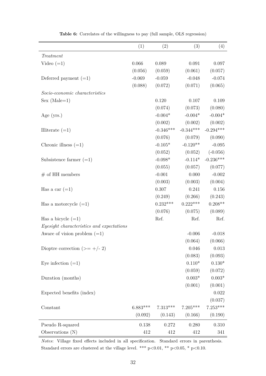<span id="page-34-0"></span>

|                                           | (1)        | (2)         | (3)         | (4)         |
|-------------------------------------------|------------|-------------|-------------|-------------|
| Treatment                                 |            |             |             |             |
| Video $(=1)$                              | 0.066      | 0.089       | $\,0.091\,$ | $0.097\,$   |
|                                           | (0.056)    | (0.059)     | (0.061)     | (0.057)     |
| Deferred payment $(=1)$                   | $-0.069$   | $-0.059$    | $-0.048$    | $-0.074$    |
|                                           | (0.088)    | (0.072)     | (0.071)     | (0.065)     |
| Socio-economic characteristics            |            |             |             |             |
| $Sex (Male=1)$                            |            | 0.120       | 0.107       | $0.109\,$   |
|                                           |            | (0.074)     | (0.073)     | (0.080)     |
| Age $(yrs.)$                              |            | $-0.004*$   | $-0.004*$   | $-0.004*$   |
|                                           |            | (0.002)     | (0.002)     | (0.002)     |
| Illiterate $(=1)$                         |            | $-0.346***$ | $-0.344***$ | $-0.294***$ |
|                                           |            | (0.076)     | (0.079)     | (0.090)     |
| Chronic illness $(=1)$                    |            | $-0.105*$   | $-0.120**$  | $-0.095$    |
|                                           |            | (0.052)     | (0.052)     | $(-0.056)$  |
| Subsistence farmer $(=1)$                 |            | $-0.098*$   | $-0.114*$   | $-0.236***$ |
|                                           |            | (0.055)     | (0.057)     | (0.077)     |
| $#$ of HH members                         |            | $-0.001$    | 0.000       | $-0.002$    |
|                                           |            | (0.003)     | (0.003)     | (0.004)     |
| Has a car $(=1)$                          |            | 0.307       | 0.241       | $0.156\,$   |
|                                           |            | (0.249)     | (0.266)     | (0.243)     |
| Has a motorcycle $(=1)$                   |            | $0.232***$  | $0.222***$  | $0.208**$   |
|                                           |            | (0.076)     | (0.075)     | (0.089)     |
| Has a bicycle $(=1)$                      |            | Ref.        | Ref.        | Ref.        |
| Eyesight characteristics and expectations |            |             |             |             |
| Aware of vision problem $(=1)$            |            |             | $-0.006$    | $-0.018$    |
|                                           |            |             | (0.064)     | (0.066)     |
| Dioptre correction (>= $+/- 2$ )          |            |             | 0.046       | $0.013\,$   |
|                                           |            |             | (0.083)     | (0.093)     |
| Eye infection $(=1)$                      |            |             | $0.110*$    | $0.130*$    |
|                                           |            |             | (0.059)     | (0.072)     |
| Duration (months)                         |            |             | $0.003*$    | $0.003*$    |
|                                           |            |             | (0.001)     | (0.001)     |
| Expected benefits (index)                 |            |             |             | 0.022       |
|                                           |            |             |             | (0.037)     |
| Constant                                  | $6.883***$ | $7.313***$  | $7.205***$  | $7.253***$  |
|                                           | (0.092)    | (0.143)     | (0.166)     | (0.190)     |
| Pseudo R-squared                          | 0.138      | 0.272       | 0.280       | 0.310       |
| Observations $(N)$                        | 412        | 412         | 412         | 341         |

**Table 6:** Correlates of the willingness to pay (full sample, OLS regression)

*Notes*: Village fixed effects included in all specification. Standard errors in parenthesis. Standard errors are clustered at the village level. \*\*\* p<0.01, \*\* p<0.05, \* p<0.10.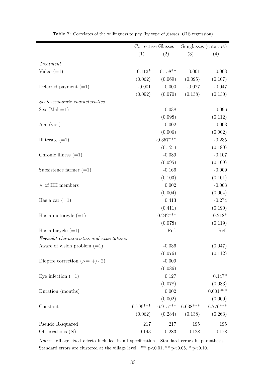<span id="page-35-0"></span>

|                                           | Corrective Glasses |             | Sunglasses (cataract) |            |
|-------------------------------------------|--------------------|-------------|-----------------------|------------|
|                                           | (1)                | (2)         | (3)                   | (4)        |
| Treatment                                 |                    |             |                       |            |
| Video $(=1)$                              | $0.112*$           | $0.158**$   | 0.001                 | $-0.003$   |
|                                           | (0.062)            | (0.069)     | (0.095)               | (0.107)    |
| Deferred payment $(=1)$                   | $-0.001$           | 0.000       | $-0.077$              | $-0.047$   |
|                                           | (0.092)            | (0.070)     | (0.138)               | (0.130)    |
| Socio-economic characteristics            |                    |             |                       |            |
| $Sex (Male=1)$                            |                    | 0.038       |                       | 0.096      |
|                                           |                    | (0.098)     |                       | (0.112)    |
| Age $(yrs.)$                              |                    | $-0.002$    |                       | $-0.003$   |
|                                           |                    | (0.006)     |                       | (0.002)    |
| Illiterate $(=1)$                         |                    | $-0.357***$ |                       | $-0.235$   |
|                                           |                    | (0.121)     |                       | (0.180)    |
| Chronic illness $(=1)$                    |                    | $-0.089$    |                       | $-0.107$   |
|                                           |                    | (0.095)     |                       | (0.109)    |
| Subsistence farmer $(=1)$                 |                    | $-0.166$    |                       | $-0.009$   |
|                                           |                    | (0.103)     |                       | (0.101)    |
| $#$ of HH members                         |                    | 0.002       |                       | $-0.003$   |
|                                           |                    | (0.004)     |                       | (0.004)    |
| Has a car $(=1)$                          |                    | 0.413       |                       | $-0.274$   |
|                                           |                    | (0.411)     |                       | (0.190)    |
| Has a motorcyle $(=1)$                    |                    | $0.242***$  |                       | $0.218*$   |
|                                           |                    | (0.078)     |                       | (0.119)    |
| Has a bicycle $(=1)$                      |                    | Ref.        |                       | Ref.       |
| Eyesight characteristics and expectations |                    |             |                       |            |
| Aware of vision problem $(=1)$            |                    | $-0.036$    |                       | (0.047)    |
|                                           |                    | (0.076)     |                       | (0.112)    |
| Dioptre correction (>= $+/- 2$ )          |                    | $-0.009$    |                       |            |
|                                           |                    | (0.086)     |                       |            |
| Eye infection $(=1)$                      |                    | 0.127       |                       | $0.147*$   |
|                                           |                    | (0.078)     |                       | (0.083)    |
| Duration (months)                         |                    | 0.002       |                       | $0.001***$ |
|                                           |                    | (0.002)     |                       | (0.000)    |
| Constant                                  | $6.796***$         | $6.915***$  | $6.638***$            | $6.776***$ |
|                                           | (0.062)            | (0.284)     | (0.138)               | (0.263)    |
| Pseudo R-squared                          | 217                | 217         | 195                   | 195        |
| Observations $(N)$                        | 0.143              | 0.283       | 0.128                 | 0.178      |

**Table 7:** Correlates of the willingness to pay (by type of glasses, OLS regression)

*Notes*: Village fixed effects included in all specification. Standard errors in parenthesis. Standard errors are clustered at the village level. \*\*\* p<0.01, \*\* p<0.05, \* p<0.10.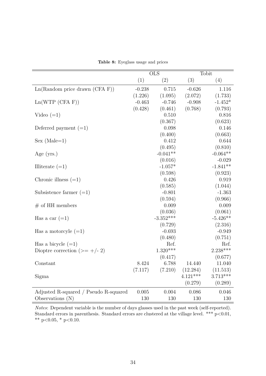|  | Table 8: Eyeglass usage and prices |  |  |
|--|------------------------------------|--|--|
|--|------------------------------------|--|--|

<span id="page-36-0"></span>

|                                       | $\overline{\text{OLS}}$ |             |            | Tobit      |
|---------------------------------------|-------------------------|-------------|------------|------------|
|                                       | (1)                     | (2)         | (3)        | (4)        |
| $Ln(Random)$ price drawn $(CFA F)$    | $-0.238$                | 0.715       | $-0.626$   | 1.116      |
|                                       | (1.226)                 | (1.095)     | (2.072)    | (1.733)    |
| Ln(WTP (CFA F))                       | $-0.463$                | $-0.746$    | $-0.908$   | $-1.452*$  |
|                                       | (0.428)                 | (0.461)     | (0.768)    | (0.793)    |
| Video $(=1)$                          |                         | 0.510       |            | 0.816      |
|                                       |                         | (0.367)     |            | (0.623)    |
| Deferred payment $(=1)$               |                         | 0.098       |            | 0.146      |
|                                       |                         | (0.400)     |            | (0.663)    |
| $Sex (Male=1)$                        |                         | 0.412       |            | 0.644      |
|                                       |                         | (0.495)     |            | (0.810)    |
| Age $(yrs.)$                          |                         | $-0.041**$  |            | $-0.064**$ |
|                                       |                         | (0.016)     |            | $-0.029$   |
| Illiterate $(=1)$                     |                         | $-1.057*$   |            | $-1.841**$ |
|                                       |                         | (0.598)     |            | (0.923)    |
| Chronic illness $(=1)$                |                         | 0.426       |            | 0.919      |
|                                       |                         | (0.585)     |            | (1.044)    |
| Subsistence farmer $(=1)$             |                         | $-0.801$    |            | $-1.363$   |
|                                       |                         | (0.594)     |            | (0.966)    |
| $#$ of HH members                     |                         | 0.009       |            | 0.009      |
|                                       |                         | (0.036)     |            | (0.061)    |
| Has a car $(=1)$                      |                         | $-3.352***$ |            | $-5.426**$ |
|                                       |                         | (0.729)     |            | (2.316)    |
| Has a motorcyle $(=1)$                |                         | $-0.693$    |            | $-0.949$   |
|                                       |                         | (0.480)     |            | (0.751)    |
| Has a bicycle $(=1)$                  |                         | Ref.        |            | Ref.       |
| Dioptre correction (>= $+/- 2$ )      |                         | $1.320***$  |            | $2.238***$ |
|                                       |                         | (0.417)     |            | (0.677)    |
| Constant                              | 8.424                   | 6.788       | 14.440     | 11.040     |
|                                       | (7.117)                 | (7.210)     | (12.284)   | (11.513)   |
| Sigma                                 |                         |             | $4.121***$ | $3.713***$ |
|                                       |                         |             | (0.279)    | (0.289)    |
| Adjusted R-squared / Pseudo R-squared | 0.005                   | 0.004       | 0.086      | 0.046      |
| Observations $(N)$                    | 130                     | 130         | 130        | 130        |

*Notes*: Dependent variable is the number of days glasses used in the past week (self-reported). Standard errors in parenthesis. Standard errors are clustered at the village level. \*\*\* p<0.01, \*\*  $p<0.05$ , \*  $p<0.10$ .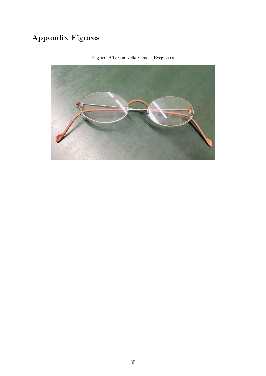# **Appendix Figures**

<span id="page-37-0"></span>

**Figure A1:** OneDollarGlasses Eyeglasses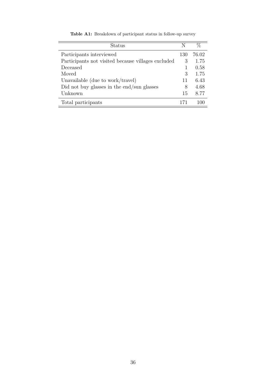| Status                                             | N   | $\%$  |
|----------------------------------------------------|-----|-------|
| Participants interviewed                           | 130 | 76.02 |
| Participants not visited because villages excluded | 3   | 1.75  |
| Deceased                                           |     | 0.58  |
| Moved                                              | 3   | 1.75  |
| Unavailable (due to work/travel)                   | 11  | 6.43  |
| Did not buy glasses in the end/sun glasses         | 8   | 4.68  |
| Unknown                                            | 15  | 8.77  |
| Total participants                                 | 171 |       |

**Table A1:** Breakdown of participant status in follow-up survey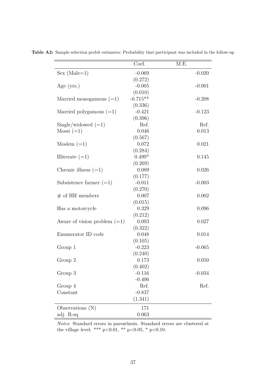|                                | Coef.      | M.E.     |
|--------------------------------|------------|----------|
| $Sex (Male=1)$                 | $-0.069$   | $-0.020$ |
|                                | (0.272)    |          |
| Age $(yrs.)$                   | $-0.005$   | $-0.001$ |
|                                | (0.010)    |          |
| Married monogamous $(=1)$      | $-0.715**$ | $-0.208$ |
|                                | (0.336)    |          |
| Married polygamous $(=1)$      | $-0.421$   | $-0.123$ |
|                                | (0.396)    |          |
| $Single/widowed (=1)$          | Ref.       | Ref.     |
| $Mossi (=1)$                   | 0.046      | 0.013    |
|                                | (0.567)    |          |
| Moslem $(=1)$                  | 0.072      | 0.021    |
|                                | (0.284)    |          |
| Illiterate $(=1)$              | $0.499*$   | 0.145    |
|                                | (0.269)    |          |
| Chronic illness $(=1)$         | 0.089      | 0.026    |
|                                | (0.177)    |          |
| Subsistence farmer $(=1)$      | $-0.011$   | $-0.003$ |
|                                | (0.270)    |          |
| $#$ of HH members              | 0.007      | 0.002    |
|                                | (0.015)    |          |
| Has a motorcycle               | 0.329      | 0.096    |
|                                | (0.212)    |          |
| Aware of vision problem $(=1)$ | 0.093      | 0.027    |
|                                | (0.322)    |          |
| Enumerator ID code             | 0.048      | 0.014    |
|                                | (0.105)    |          |
| Group 1                        | $-0.223$   | $-0.065$ |
|                                | (0.240)    |          |
| Group 2                        | 0.173      | 0.050    |
|                                | (0.402)    |          |
| Group 3                        | $-0.116$   | $-0.034$ |
|                                | $-0.406$   |          |
| Group 4                        | Ref.       | Ref.     |
| Constant                       | $-0.837$   |          |
|                                | (1.341)    |          |
| Observations $(N)$             | 171        |          |
| adj. R-sq                      | 0.063      |          |

<span id="page-39-0"></span>**Table A2:** Sample selection probit estimates: Probability that participant was included in the follow-up

*Notes*: Standard errors in parenthesis. Standard errors are clustered at the village level. \*\*\* p<0.01, \*\* p<0.05, \* p<0.10.